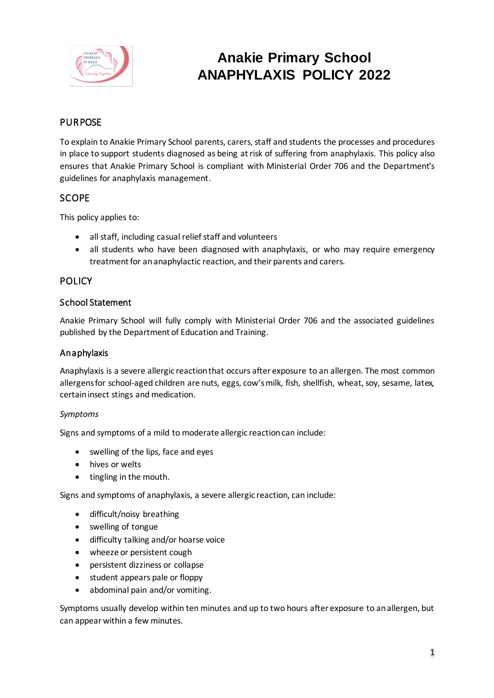

# **Anakie Primary School ANAPHYLAXIS POLICY 2022**

# **PURPOSE**

To explain to Anakie Primary School parents, carers, staff and students the processes and procedures in place to support students diagnosed as being at risk of suffering from anaphylaxis. This policy also ensures that Anakie Primary School is compliant with Ministerial Order 706 and the Department's guidelines for anaphylaxis management.

## **SCOPE**

This policy applies to:

- all staff, including casual relief staff and volunteers
- all students who have been diagnosed with anaphylaxis, or who may require emergency treatment for an anaphylactic reaction, and their parents and carers.

## **POLICY**

#### School Statement

Anakie Primary School will fully comply with Ministerial Order 706 and the associated guidelines published by the Department of Education and Training.

## Anaphylaxis

Anaphylaxis is a severe allergic reaction that occurs after exposure to an allergen. The most common allergens for school-aged children are nuts, eggs, cow's milk, fish, shellfish, wheat, soy, sesame, latex, certain insect stings and medication.

#### *Symptoms*

Signs and symptoms of a mild to moderate allergic reaction can include:

- swelling of the lips, face and eyes
- hives or welts
- tingling in the mouth.

Signs and symptoms of anaphylaxis, a severe allergic reaction, can include:

- difficult/noisy breathing
- swelling of tongue
- difficulty talking and/or hoarse voice
- wheeze or persistent cough
- persistent dizziness or collapse
- student appears pale or floppy
- abdominal pain and/or vomiting.

Symptoms usually develop within ten minutes and up to two hours after exposure to an allergen, but can appear within a few minutes.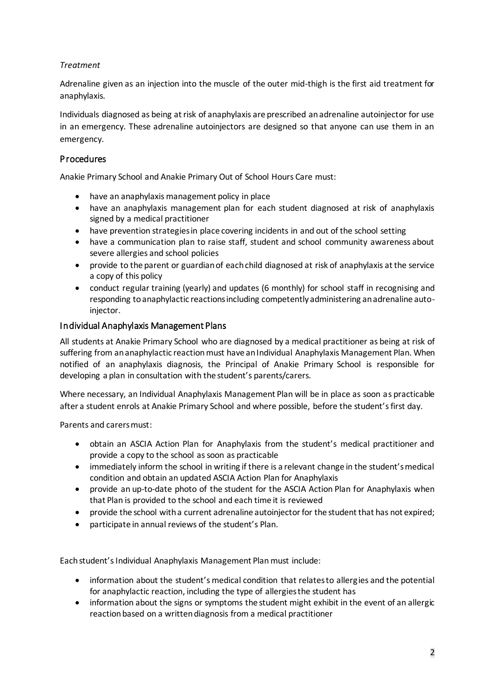## *Treatment*

Adrenaline given as an injection into the muscle of the outer mid-thigh is the first aid treatment for anaphylaxis.

Individuals diagnosed as being at risk of anaphylaxis are prescribed an adrenaline autoinjector for use in an emergency. These adrenaline autoinjectors are designed so that anyone can use them in an emergency.

## Procedures

Anakie Primary School and Anakie Primary Out of School Hours Care must:

- have an anaphylaxis management policy in place
- have an anaphylaxis management plan for each student diagnosed at risk of anaphylaxis signed by a medical practitioner
- have prevention strategies in place covering incidents in and out of the school setting
- have a communication plan to raise staff, student and school community awareness about severe allergies and school policies
- provide to the parent or guardian of each child diagnosed at risk of anaphylaxis at the service a copy of this policy
- conduct regular training (yearly) and updates (6 monthly) for school staff in recognising and responding to anaphylactic reactions including competently administering an adrenaline autoinjector.

## Individual Anaphylaxis Management Plans

All students at Anakie Primary School who are diagnosed by a medical practitioner as being at risk of suffering from an anaphylactic reaction must have an Individual Anaphylaxis Management Plan. When notified of an anaphylaxis diagnosis, the Principal of Anakie Primary School is responsible for developing a plan in consultation with the student's parents/carers.

Where necessary, an Individual Anaphylaxis Management Plan will be in place as soon as practicable after a student enrols at Anakie Primary School and where possible, before the student's first day.

Parents and carers must:

- obtain an ASCIA Action Plan for Anaphylaxis from the student's medical practitioner and provide a copy to the school as soon as practicable
- immediately inform the school in writing if there is a relevant change in the student's medical condition and obtain an updated ASCIA Action Plan for Anaphylaxis
- provide an up-to-date photo of the student for the ASCIA Action Plan for Anaphylaxis when that Plan is provided to the school and each time it is reviewed
- provide the school with a current adrenaline autoinjector for the student that has not expired;
- participate in annual reviews of the student's Plan.

Each student's Individual Anaphylaxis Management Plan must include:

- information about the student's medical condition that relates to allergies and the potential for anaphylactic reaction, including the type of allergies the student has
- information about the signs or symptoms the student might exhibit in the event of an allergic reaction based on a written diagnosis from a medical practitioner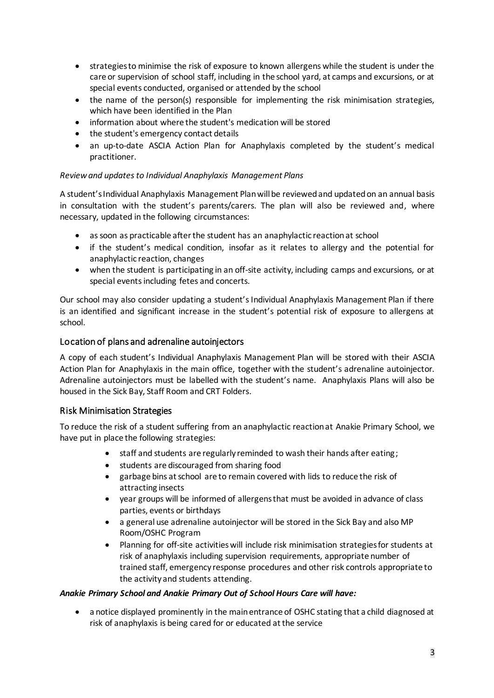- strategies to minimise the risk of exposure to known allergens while the student is under the care or supervision of school staff, including in the school yard, at camps and excursions, or at special events conducted, organised or attended by the school
- the name of the person(s) responsible for implementing the risk minimisation strategies, which have been identified in the Plan
- information about where the student's medication will be stored
- the student's emergency contact details
- an up-to-date ASCIA Action Plan for Anaphylaxis completed by the student's medical practitioner.

#### *Review and updates to Individual Anaphylaxis Management Plans*

A student's Individual Anaphylaxis Management Plan will be reviewed and updated on an annual basis in consultation with the student's parents/carers. The plan will also be reviewed and, where necessary, updated in the following circumstances:

- as soon as practicable after the student has an anaphylactic reaction at school
- if the student's medical condition, insofar as it relates to allergy and the potential for anaphylactic reaction, changes
- when the student is participating in an off-site activity, including camps and excursions, or at special events including fetes and concerts.

Our school may also consider updating a student's Individual Anaphylaxis Management Plan if there is an identified and significant increase in the student's potential risk of exposure to allergens at school.

## Location of plans and adrenaline autoinjectors

A copy of each student's Individual Anaphylaxis Management Plan will be stored with their ASCIA Action Plan for Anaphylaxis in the main office, together with the student's adrenaline autoinjector. Adrenaline autoinjectors must be labelled with the student's name. Anaphylaxis Plans will also be housed in the Sick Bay, Staff Room and CRT Folders.

#### Risk Minimisation Strategies

To reduce the risk of a student suffering from an anaphylactic reaction at Anakie Primary School, we have put in place the following strategies:

- staff and students are regularly reminded to wash their hands after eating;
- students are discouraged from sharing food
- garbage bins at school are to remain covered with lids to reduce the risk of attracting insects
- year groups will be informed of allergens that must be avoided in advance of class parties, events or birthdays
- a general use adrenaline autoinjector will be stored in the Sick Bay and also MP Room/OSHC Program
- Planning for off-site activitieswill include risk minimisation strategies for students at risk of anaphylaxis including supervision requirements, appropriate number of trained staff, emergency response procedures and other risk controls appropriate to the activity and students attending.

#### *Anakie Primary School and Anakie Primary Out of School Hours Care will have:*

• a notice displayed prominently in the main entrance of OSHC stating that a child diagnosed at risk of anaphylaxis is being cared for or educated at the service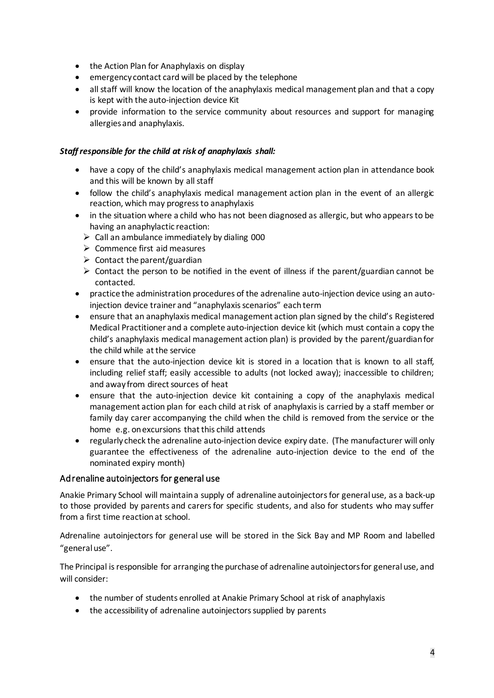- the Action Plan for Anaphylaxis on display
- emergency contact card will be placed by the telephone
- all staff will know the location of the anaphylaxis medical management plan and that a copy is kept with the auto-injection device Kit
- provide information to the service community about resources and support for managing allergies and anaphylaxis.

#### *Staff responsible for the child at risk of anaphylaxis shall:*

- have a copy of the child's anaphylaxis medical management action plan in attendance book and this will be known by all staff
- follow the child's anaphylaxis medical management action plan in the event of an allergic reaction, which may progress to anaphylaxis
- in the situation where a child who has not been diagnosed as allergic, but who appears to be having an anaphylactic reaction:
	- $\triangleright$  Call an ambulance immediately by dialing 000
	- ➢ Commence first aid measures
	- $\triangleright$  Contact the parent/guardian
	- $\triangleright$  Contact the person to be notified in the event of illness if the parent/guardian cannot be contacted.
- practice the administration procedures of the adrenaline auto-injection device using an autoinjection device trainer and "anaphylaxis scenarios" each term
- ensure that an anaphylaxis medical management action plan signed by the child's Registered Medical Practitioner and a complete auto-injection device kit (which must contain a copy the child's anaphylaxis medical management action plan) is provided by the parent/guardian for the child while at the service
- ensure that the auto-injection device kit is stored in a location that is known to all staff, including relief staff; easily accessible to adults (not locked away); inaccessible to children; and away from direct sources of heat
- ensure that the auto-injection device kit containing a copy of the anaphylaxis medical management action plan for each child at risk of anaphylaxis is carried by a staff member or family day carer accompanying the child when the child is removed from the service or the home e.g. on excursions that this child attends
- regularly check the adrenaline auto-injection device expiry date. (The manufacturer will only guarantee the effectiveness of the adrenaline auto-injection device to the end of the nominated expiry month)

#### Adrenaline autoinjectors for general use

Anakie Primary School will maintain a supply of adrenaline autoinjectorsfor general use, as a back-up to those provided by parents and carers for specific students, and also for students who may suffer from a first time reaction at school.

Adrenaline autoinjectors for general use will be stored in the Sick Bay and MP Room and labelled "general use".

The Principal is responsible for arranging the purchase of adrenaline autoinjectors for general use, and will consider:

- the number of students enrolled at Anakie Primary School at risk of anaphylaxis
- the accessibility of adrenaline autoinjectors supplied by parents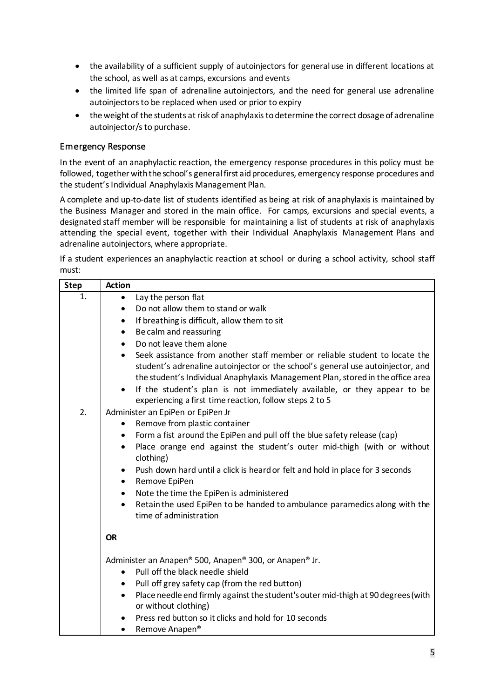- the availability of a sufficient supply of autoinjectors for general use in different locations at the school, as well as at camps, excursions and events
- the limited life span of adrenaline autoinjectors, and the need for general use adrenaline autoinjectors to be replaced when used or prior to expiry
- the weight of the students at risk of anaphylaxis to determine the correct dosage of adrenaline autoinjector/s to purchase.

## Emergency Response

In the event of an anaphylactic reaction, the emergency response procedures in this policy must be followed, together with the school's general first aid procedures, emergency response procedures and the student's Individual Anaphylaxis Management Plan.

A complete and up-to-date list of students identified as being at risk of anaphylaxis is maintained by the Business Manager and stored in the main office. For camps, excursions and special events, a designated staff member will be responsible for maintaining a list of students at risk of anaphylaxis attending the special event, together with their Individual Anaphylaxis Management Plans and adrenaline autoinjectors, where appropriate.

If a student experiences an anaphylactic reaction at school or during a school activity, school staff must:

| <b>Step</b> | <b>Action</b>                                                                                                          |
|-------------|------------------------------------------------------------------------------------------------------------------------|
| 1.          | Lay the person flat<br>$\bullet$                                                                                       |
|             | Do not allow them to stand or walk<br>$\bullet$                                                                        |
|             | If breathing is difficult, allow them to sit<br>$\bullet$                                                              |
|             | Be calm and reassuring<br>$\bullet$                                                                                    |
|             | Do not leave them alone<br>$\bullet$                                                                                   |
|             | Seek assistance from another staff member or reliable student to locate the<br>$\bullet$                               |
|             | student's adrenaline autoinjector or the school's general use autoinjector, and                                        |
|             | the student's Individual Anaphylaxis Management Plan, stored in the office area                                        |
|             | If the student's plan is not immediately available, or they appear to be                                               |
|             | experiencing a first time reaction, follow steps 2 to 5                                                                |
| 2.          | Administer an EpiPen or EpiPen Jr                                                                                      |
|             | Remove from plastic container                                                                                          |
|             | Form a fist around the EpiPen and pull off the blue safety release (cap)<br>٠                                          |
|             | Place orange end against the student's outer mid-thigh (with or without<br>٠                                           |
|             | clothing)                                                                                                              |
|             | Push down hard until a click is heard or felt and hold in place for 3 seconds                                          |
|             | Remove EpiPen<br>٠                                                                                                     |
|             | Note the time the EpiPen is administered<br>٠                                                                          |
|             | Retain the used EpiPen to be handed to ambulance paramedics along with the<br>٠<br>time of administration              |
|             | <b>OR</b>                                                                                                              |
|             |                                                                                                                        |
|             | Administer an Anapen® 500, Anapen® 300, or Anapen® Jr.                                                                 |
|             | Pull off the black needle shield<br>$\bullet$                                                                          |
|             | Pull off grey safety cap (from the red button)<br>٠                                                                    |
|             | Place needle end firmly against the student's outer mid-thigh at 90 degrees (with<br>$\bullet$<br>or without clothing) |
|             | Press red button so it clicks and hold for 10 seconds                                                                  |
|             | Remove Anapen <sup>®</sup>                                                                                             |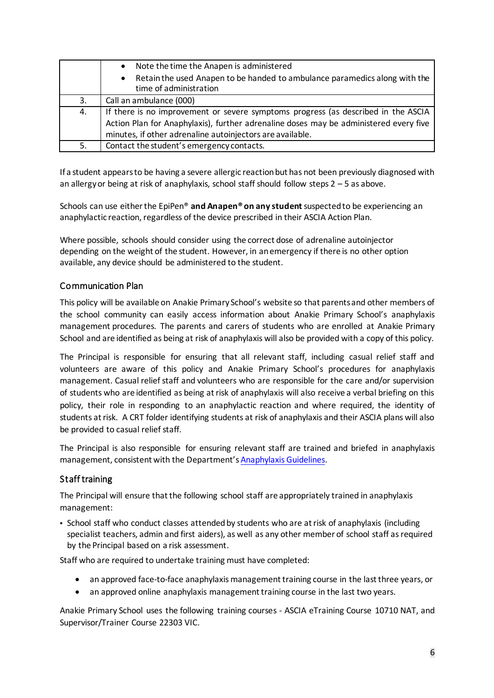|    | Note the time the Anapen is administered<br>$\bullet$                                                             |  |
|----|-------------------------------------------------------------------------------------------------------------------|--|
|    | Retain the used Anapen to be handed to ambulance paramedics along with the<br>$\bullet$<br>time of administration |  |
| 3. | Call an ambulance (000)                                                                                           |  |
| 4. | If there is no improvement or severe symptoms progress (as described in the ASCIA                                 |  |
|    | Action Plan for Anaphylaxis), further adrenaline doses may be administered every five                             |  |
|    | minutes, if other adrenaline autoinjectors are available.                                                         |  |
| 5. | Contact the student's emergency contacts.                                                                         |  |

If a student appears to be having a severe allergic reaction but has not been previously diagnosed with an allergy or being at risk of anaphylaxis, school staff should follow steps 2 – 5 as above.

Schools can use either the EpiPen® **and Anapen® on any student** suspected to be experiencing an anaphylactic reaction, regardless of the device prescribed in their ASCIA Action Plan.

Where possible, schools should consider using the correct dose of adrenaline autoinjector depending on the weight of the student. However, in an emergency if there is no other option available, any device should be administered to the student.

## Communication Plan

This policy will be available on Anakie Primary School's website so that parents and other members of the school community can easily access information about Anakie Primary School's anaphylaxis management procedures. The parents and carers of students who are enrolled at Anakie Primary School and are identified as being at risk of anaphylaxis will also be provided with a copy of this policy.

The Principal is responsible for ensuring that all relevant staff, including casual relief staff and volunteers are aware of this policy and Anakie Primary School's procedures for anaphylaxis management. Casual relief staff and volunteers who are responsible for the care and/or supervision of students who are identified as being at risk of anaphylaxis will also receive a verbal briefing on this policy, their role in responding to an anaphylactic reaction and where required, the identity of students at risk. A CRT folder identifying students at risk of anaphylaxis and their ASCIA plans will also be provided to casual relief staff.

The Principal is also responsible for ensuring relevant staff are trained and briefed in anaphylaxis management, consistent with the Department's [Anaphylaxis Guidelines.](https://www2.education.vic.gov.au/pal/anaphylaxis/guidance)

#### Staff training

The Principal will ensure that the following school staff are appropriately trained in anaphylaxis management:

• School staff who conduct classes attended by students who are at risk of anaphylaxis (including specialist teachers, admin and first aiders), as well as any other member of school staff as required by the Principal based on a risk assessment.

Staff who are required to undertake training must have completed:

- an approved face-to-face anaphylaxis management training course in the last three years, or
- an approved online anaphylaxis management training course in the last two years.

Anakie Primary School uses the following training courses - ASCIA eTraining Course 10710 NAT, and Supervisor/Trainer Course 22303 VIC.